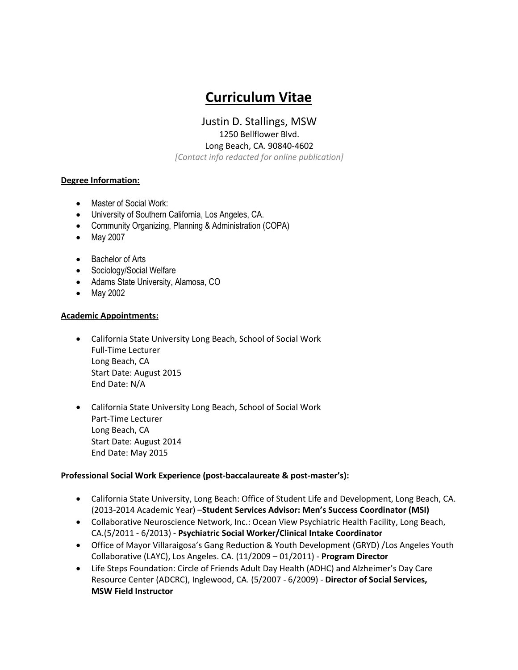# **Curriculum Vitae**

Justin D. Stallings, MSW 1250 Bellflower Blvd. Long Beach, CA. 90840-4602

*[Contact info redacted for online publication]*

## **Degree Information:**

- Master of Social Work:
- University of Southern California, Los Angeles, CA.
- Community Organizing, Planning & Administration (COPA)
- May 2007
- Bachelor of Arts
- Sociology/Social Welfare
- Adams State University, Alamosa, CO
- May 2002

#### **Academic Appointments:**

- California State University Long Beach, School of Social Work Full-Time Lecturer Long Beach, CA Start Date: August 2015 End Date: N/A
- California State University Long Beach, School of Social Work Part-Time Lecturer Long Beach, CA Start Date: August 2014 End Date: May 2015

#### **Professional Social Work Experience (post-baccalaureate & post-master's):**

- California State University, Long Beach: Office of Student Life and Development, Long Beach, CA. (2013-2014 Academic Year) –**Student Services Advisor: Men's Success Coordinator (MSI)**
- Collaborative Neuroscience Network, Inc.: Ocean View Psychiatric Health Facility, Long Beach, CA.(5/2011 - 6/2013) - **Psychiatric Social Worker/Clinical Intake Coordinator**
- Office of Mayor Villaraigosa's Gang Reduction & Youth Development (GRYD) /Los Angeles Youth Collaborative (LAYC), Los Angeles. CA. (11/2009 – 01/2011) - **Program Director**
- Life Steps Foundation: Circle of Friends Adult Day Health (ADHC) and Alzheimer's Day Care Resource Center (ADCRC), Inglewood, CA. (5/2007 - 6/2009) - **Director of Social Services, MSW Field Instructor**